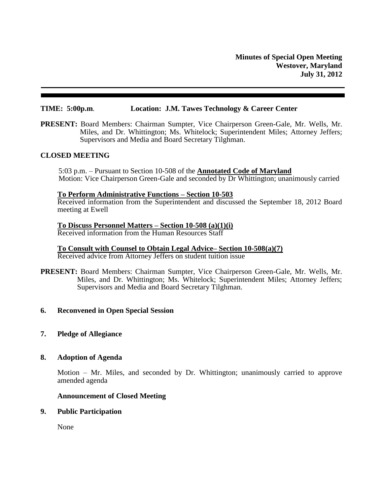## **TIME: 5:00p.m**. **Location: J.M. Tawes Technology & Career Center**

**PRESENT:** Board Members: Chairman Sumpter, Vice Chairperson Green-Gale, Mr. Wells, Mr. Miles, and Dr. Whittington; Ms. Whitelock; Superintendent Miles; Attorney Jeffers; Supervisors and Media and Board Secretary Tilghman.

### **CLOSED MEETING**

5:03 p.m. – Pursuant to Section 10-508 of the **Annotated Code of Maryland** Motion: Vice Chairperson Green-Gale and seconded by Dr Whittington; unanimously carried

#### **To Perform Administrative Functions – Section 10-503**

Received information from the Superintendent and discussed the September 18, 2012 Board meeting at Ewell

# **To Discuss Personnel Matters – Section 10-508 (a)(1)(i)**

Received information from the Human Resources Staff

**To Consult with Counsel to Obtain Legal Advice– Section 10-508(a)(7)** Received advice from Attorney Jeffers on student tuition issue

**PRESENT:** Board Members: Chairman Sumpter, Vice Chairperson Green-Gale, Mr. Wells, Mr. Miles, and Dr. Whittington; Ms. Whitelock; Superintendent Miles; Attorney Jeffers; Supervisors and Media and Board Secretary Tilghman.

### **6. Reconvened in Open Special Session**

**7. Pledge of Allegiance**

### **8. Adoption of Agenda**

Motion – Mr. Miles, and seconded by Dr. Whittington; unanimously carried to approve amended agenda

#### **Announcement of Closed Meeting**

#### **9. Public Participation**

None